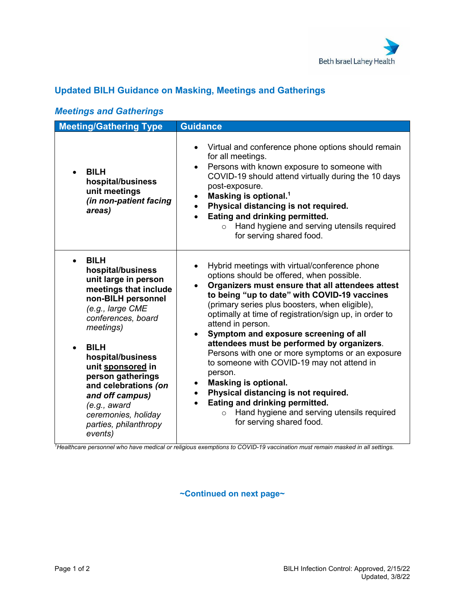

## **Updated BILH Guidance on Masking, Meetings and Gatherings**

| <b>Meeting/Gathering Type</b>                                                                                                                                                                                                                                                                                                                                                    | <b>Guidance</b>                                                                                                                                                                                                                                                                                                                                                                                                                                                                                                                                                                                                                                                                                                                                                                                    |
|----------------------------------------------------------------------------------------------------------------------------------------------------------------------------------------------------------------------------------------------------------------------------------------------------------------------------------------------------------------------------------|----------------------------------------------------------------------------------------------------------------------------------------------------------------------------------------------------------------------------------------------------------------------------------------------------------------------------------------------------------------------------------------------------------------------------------------------------------------------------------------------------------------------------------------------------------------------------------------------------------------------------------------------------------------------------------------------------------------------------------------------------------------------------------------------------|
| <b>BILH</b><br>hospital/business<br>unit meetings<br>(in non-patient facing<br>areas)                                                                                                                                                                                                                                                                                            | Virtual and conference phone options should remain<br>$\bullet$<br>for all meetings.<br>Persons with known exposure to someone with<br>$\bullet$<br>COVID-19 should attend virtually during the 10 days<br>post-exposure.<br>Masking is optional. <sup>1</sup><br>$\bullet$<br>Physical distancing is not required.<br>$\bullet$<br>Eating and drinking permitted.<br>Hand hygiene and serving utensils required<br>$\circ$<br>for serving shared food.                                                                                                                                                                                                                                                                                                                                            |
| <b>BILH</b><br>$\bullet$<br>hospital/business<br>unit large in person<br>meetings that include<br>non-BILH personnel<br>(e.g., large CME<br>conferences, board<br>meetings)<br><b>BILH</b><br>hospital/business<br>unit sponsored in<br>person gatherings<br>and celebrations (on<br>and off campus)<br>(e.g., award)<br>ceremonies, holiday<br>parties, philanthropy<br>events) | Hybrid meetings with virtual/conference phone<br>$\bullet$<br>options should be offered, when possible.<br>Organizers must ensure that all attendees attest<br>to being "up to date" with COVID-19 vaccines<br>(primary series plus boosters, when eligible),<br>optimally at time of registration/sign up, in order to<br>attend in person.<br>Symptom and exposure screening of all<br>$\bullet$<br>attendees must be performed by organizers.<br>Persons with one or more symptoms or an exposure<br>to someone with COVID-19 may not attend in<br>person.<br><b>Masking is optional.</b><br>$\bullet$<br>Physical distancing is not required.<br>$\bullet$<br>Eating and drinking permitted.<br>$\bullet$<br>Hand hygiene and serving utensils required<br>$\circ$<br>for serving shared food. |

## *Meetings and Gatherings*

*1 Healthcare personnel who have medical or religious exemptions to COVID-19 vaccination must remain masked in all settings.*

**~Continued on next page~**